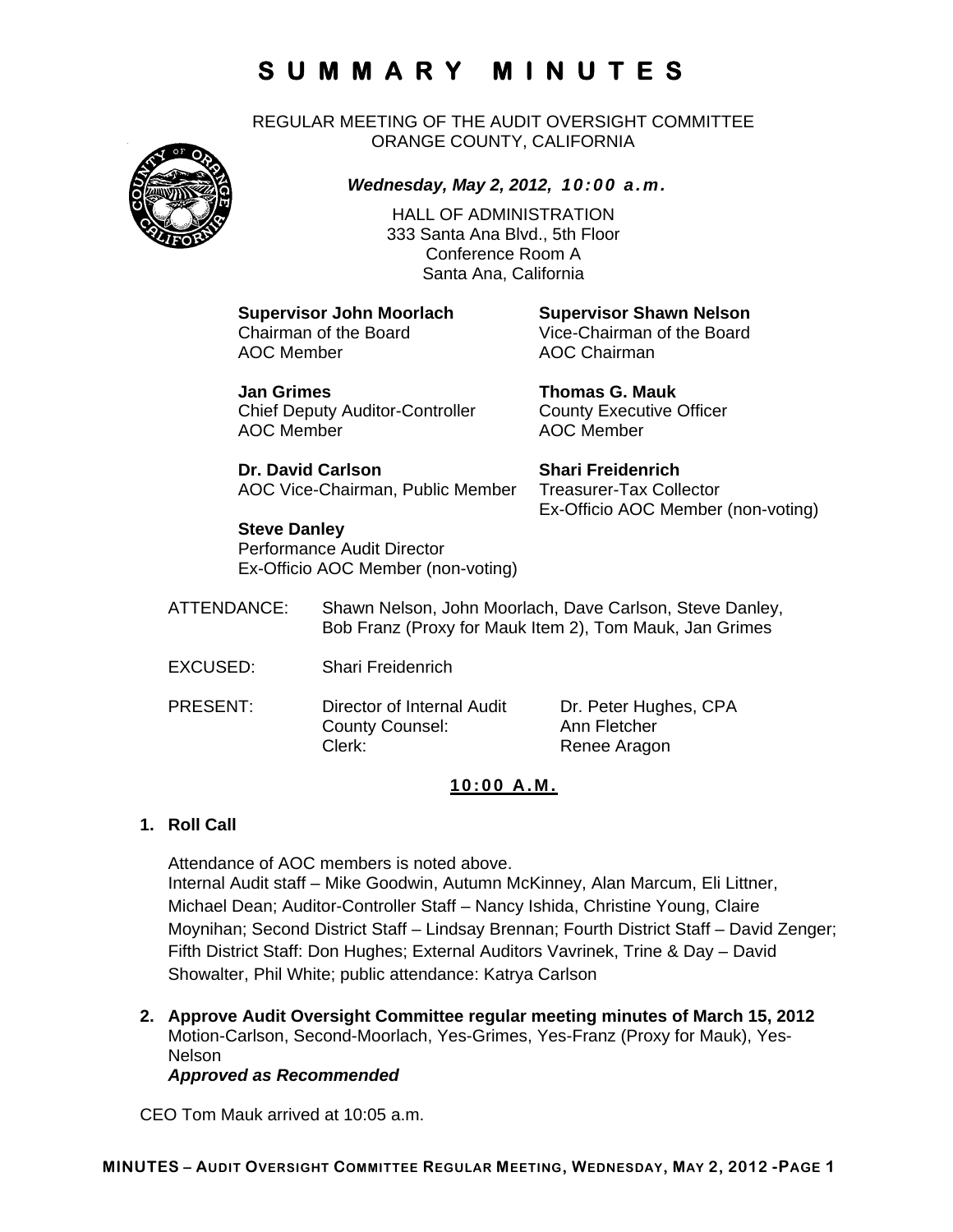REGULAR MEETING OF THE AUDIT OVERSIGHT COMMITTEE ORANGE COUNTY, CALIFORNIA



*Wednesday, May 2, 2012, 10:00 a.m.*

HALL OF ADMINISTRATION 333 Santa Ana Blvd., 5th Floor Conference Room A Santa Ana, California

AOC Member **AOC Chairman** 

**Supervisor John Moorlach Supervisor Shawn Nelson**  Chairman of the Board Vice-Chairman of the Board

**Jan Grimes Thomas G. Mauk**  Chief Deputy Auditor-Controller County Executive Officer AOC Member **AOC Member** 

**Dr. David Carlson Shari Freidenrich** AOC Vice-Chairman, Public Member Treasurer-Tax Collector

Ex-Officio AOC Member (non-voting)

### **Steve Danley**

Performance Audit Director Ex-Officio AOC Member (non-voting)

- ATTENDANCE: Shawn Nelson, John Moorlach, Dave Carlson, Steve Danley, Bob Franz (Proxy for Mauk Item 2), Tom Mauk, Jan Grimes
- EXCUSED: Shari Freidenrich
- PRESENT: Director of Internal Audit Dr. Peter Hughes, CPA County Counsel: Ann Fletcher Clerk: Renee Aragon

### **10:00 A.M.**

### **1. Roll Call**

Attendance of AOC members is noted above. Internal Audit staff – Mike Goodwin, Autumn McKinney, Alan Marcum, Eli Littner, Michael Dean; Auditor-Controller Staff – Nancy Ishida, Christine Young, Claire Moynihan; Second District Staff – Lindsay Brennan; Fourth District Staff – David Zenger; Fifth District Staff: Don Hughes; External Auditors Vavrinek, Trine & Day – David Showalter, Phil White; public attendance: Katrya Carlson

**2. Approve Audit Oversight Committee regular meeting minutes of March 15, 2012**  Motion-Carlson, Second-Moorlach, Yes-Grimes, Yes-Franz (Proxy for Mauk), Yes-Nelson

*Approved as Recommended* 

CEO Tom Mauk arrived at 10:05 a.m.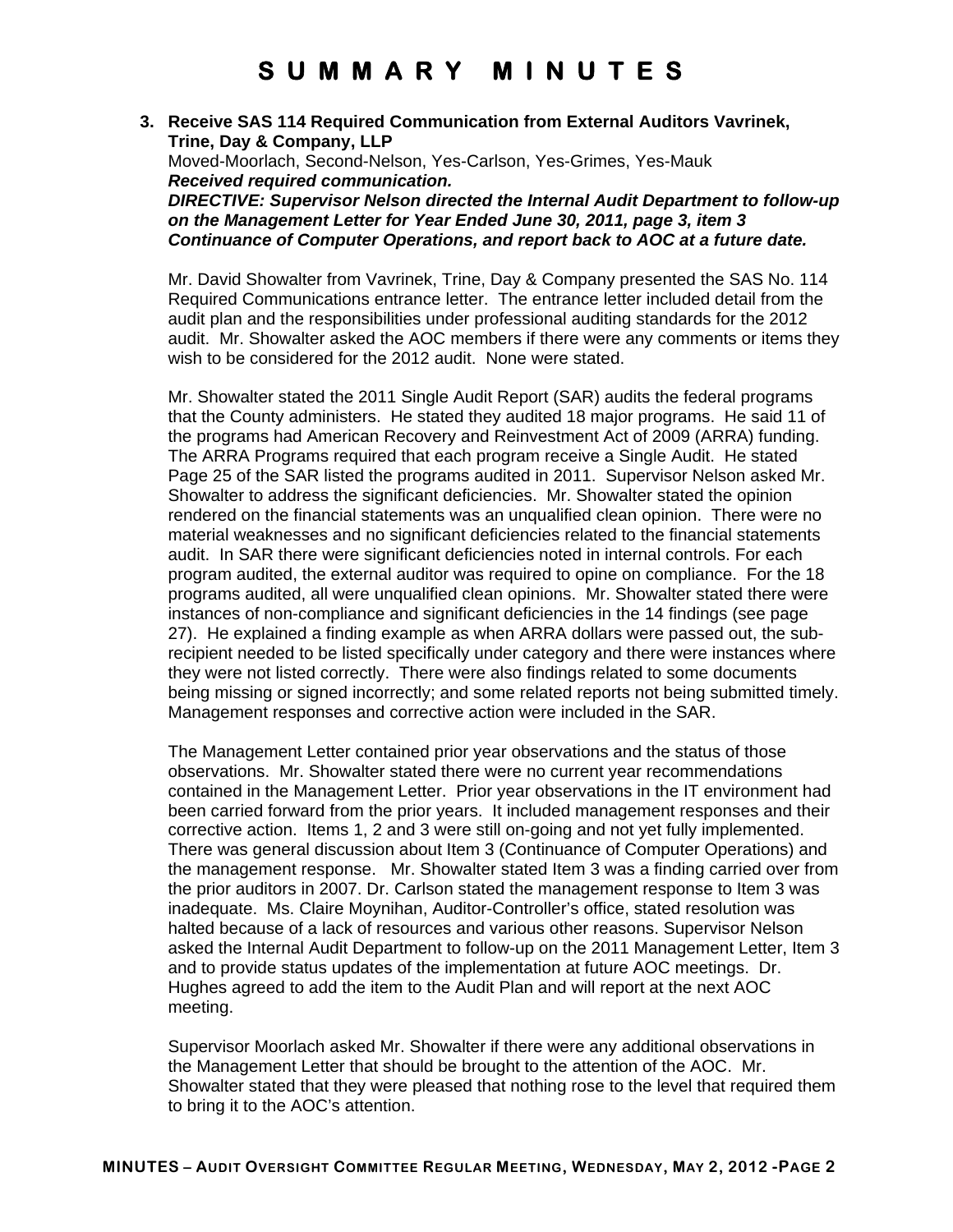#### **3. Receive SAS 114 Required Communication from External Auditors Vavrinek, Trine, Day & Company, LLP**  Moved-Moorlach, Second-Nelson, Yes-Carlson, Yes-Grimes, Yes-Mauk *Received required communication. DIRECTIVE: Supervisor Nelson directed the Internal Audit Department to follow-up on the Management Letter for Year Ended June 30, 2011, page 3, item 3 Continuance of Computer Operations, and report back to AOC at a future date.*

Mr. David Showalter from Vavrinek, Trine, Day & Company presented the SAS No. 114 Required Communications entrance letter. The entrance letter included detail from the audit plan and the responsibilities under professional auditing standards for the 2012 audit. Mr. Showalter asked the AOC members if there were any comments or items they wish to be considered for the 2012 audit. None were stated.

Mr. Showalter stated the 2011 Single Audit Report (SAR) audits the federal programs that the County administers. He stated they audited 18 major programs. He said 11 of the programs had American Recovery and Reinvestment Act of 2009 (ARRA) funding. The ARRA Programs required that each program receive a Single Audit. He stated Page 25 of the SAR listed the programs audited in 2011. Supervisor Nelson asked Mr. Showalter to address the significant deficiencies. Mr. Showalter stated the opinion rendered on the financial statements was an unqualified clean opinion. There were no material weaknesses and no significant deficiencies related to the financial statements audit. In SAR there were significant deficiencies noted in internal controls. For each program audited, the external auditor was required to opine on compliance. For the 18 programs audited, all were unqualified clean opinions. Mr. Showalter stated there were instances of non-compliance and significant deficiencies in the 14 findings (see page 27). He explained a finding example as when ARRA dollars were passed out, the subrecipient needed to be listed specifically under category and there were instances where they were not listed correctly. There were also findings related to some documents being missing or signed incorrectly; and some related reports not being submitted timely. Management responses and corrective action were included in the SAR.

The Management Letter contained prior year observations and the status of those observations. Mr. Showalter stated there were no current year recommendations contained in the Management Letter. Prior year observations in the IT environment had been carried forward from the prior years. It included management responses and their corrective action. Items 1, 2 and 3 were still on-going and not yet fully implemented. There was general discussion about Item 3 (Continuance of Computer Operations) and the management response. Mr. Showalter stated Item 3 was a finding carried over from the prior auditors in 2007. Dr. Carlson stated the management response to Item 3 was inadequate. Ms. Claire Moynihan, Auditor-Controller's office, stated resolution was halted because of a lack of resources and various other reasons. Supervisor Nelson asked the Internal Audit Department to follow-up on the 2011 Management Letter, Item 3 and to provide status updates of the implementation at future AOC meetings. Dr. Hughes agreed to add the item to the Audit Plan and will report at the next AOC meeting.

Supervisor Moorlach asked Mr. Showalter if there were any additional observations in the Management Letter that should be brought to the attention of the AOC. Mr. Showalter stated that they were pleased that nothing rose to the level that required them to bring it to the AOC's attention.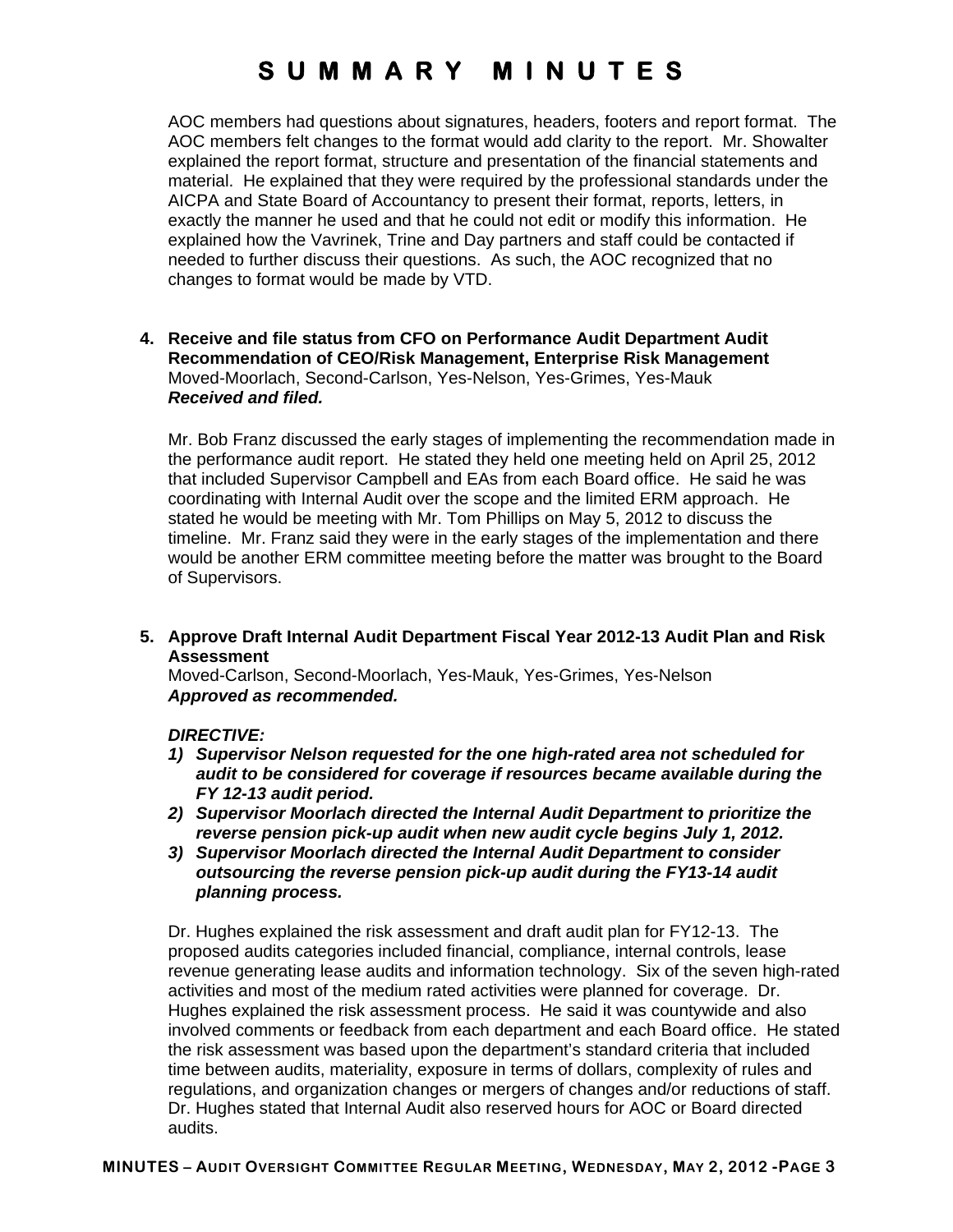AOC members had questions about signatures, headers, footers and report format. The AOC members felt changes to the format would add clarity to the report. Mr. Showalter explained the report format, structure and presentation of the financial statements and material. He explained that they were required by the professional standards under the AICPA and State Board of Accountancy to present their format, reports, letters, in exactly the manner he used and that he could not edit or modify this information. He explained how the Vavrinek, Trine and Day partners and staff could be contacted if needed to further discuss their questions. As such, the AOC recognized that no changes to format would be made by VTD.

#### **4. Receive and file status from CFO on Performance Audit Department Audit Recommendation of CEO/Risk Management, Enterprise Risk Management**  Moved-Moorlach, Second-Carlson, Yes-Nelson, Yes-Grimes, Yes-Mauk *Received and filed.*

Mr. Bob Franz discussed the early stages of implementing the recommendation made in the performance audit report. He stated they held one meeting held on April 25, 2012 that included Supervisor Campbell and EAs from each Board office. He said he was coordinating with Internal Audit over the scope and the limited ERM approach. He stated he would be meeting with Mr. Tom Phillips on May 5, 2012 to discuss the timeline. Mr. Franz said they were in the early stages of the implementation and there would be another ERM committee meeting before the matter was brought to the Board of Supervisors.

**5. Approve Draft Internal Audit Department Fiscal Year 2012-13 Audit Plan and Risk Assessment** 

Moved-Carlson, Second-Moorlach, Yes-Mauk, Yes-Grimes, Yes-Nelson *Approved as recommended.* 

### *DIRECTIVE:*

- *1) Supervisor Nelson requested for the one high-rated area not scheduled for audit to be considered for coverage if resources became available during the FY 12-13 audit period.*
- *2) Supervisor Moorlach directed the Internal Audit Department to prioritize the reverse pension pick-up audit when new audit cycle begins July 1, 2012.*
- *3) Supervisor Moorlach directed the Internal Audit Department to consider outsourcing the reverse pension pick-up audit during the FY13-14 audit planning process.*

Dr. Hughes explained the risk assessment and draft audit plan for FY12-13. The proposed audits categories included financial, compliance, internal controls, lease revenue generating lease audits and information technology. Six of the seven high-rated activities and most of the medium rated activities were planned for coverage. Dr. Hughes explained the risk assessment process. He said it was countywide and also involved comments or feedback from each department and each Board office. He stated the risk assessment was based upon the department's standard criteria that included time between audits, materiality, exposure in terms of dollars, complexity of rules and regulations, and organization changes or mergers of changes and/or reductions of staff. Dr. Hughes stated that Internal Audit also reserved hours for AOC or Board directed audits.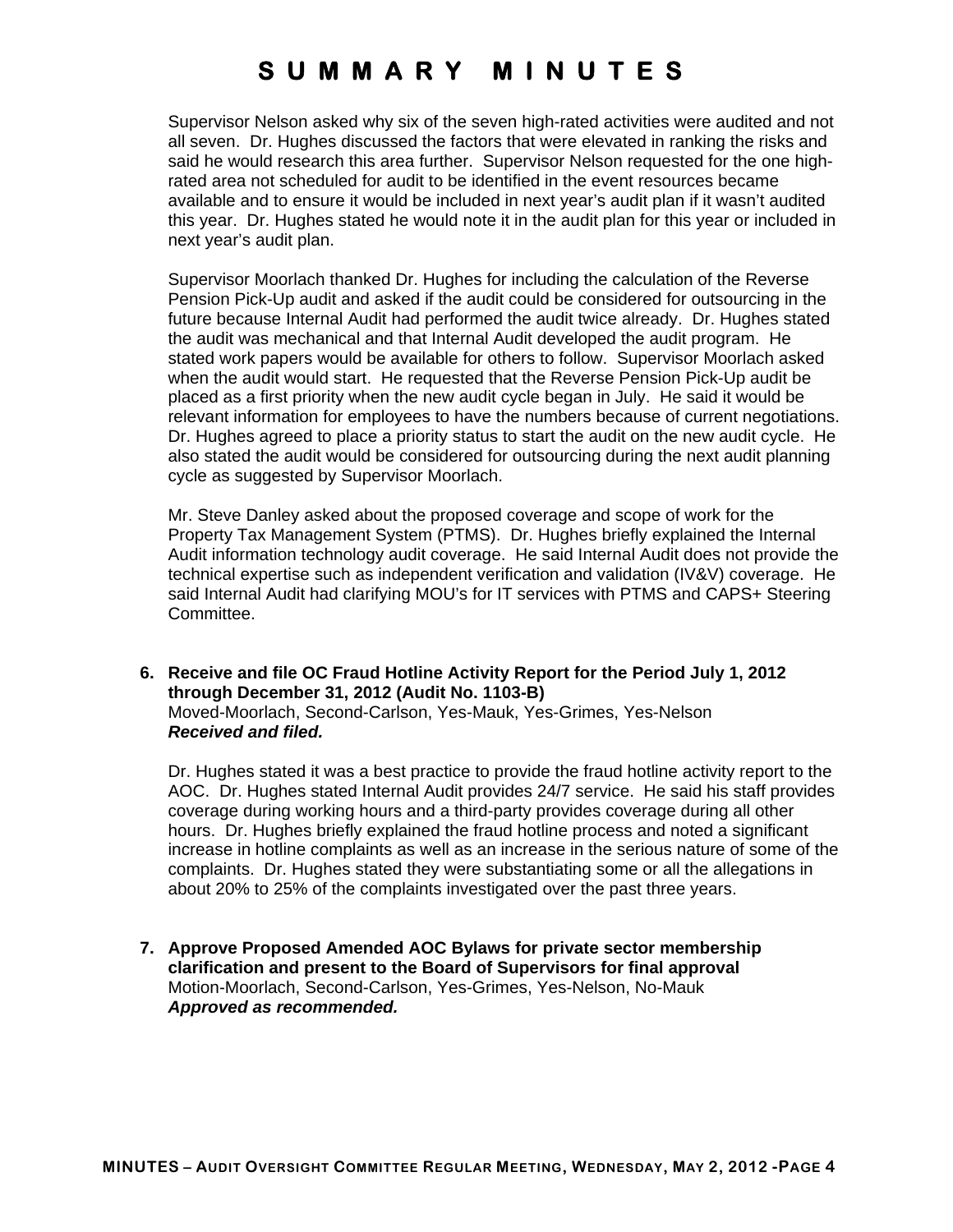Supervisor Nelson asked why six of the seven high-rated activities were audited and not all seven. Dr. Hughes discussed the factors that were elevated in ranking the risks and said he would research this area further. Supervisor Nelson requested for the one highrated area not scheduled for audit to be identified in the event resources became available and to ensure it would be included in next year's audit plan if it wasn't audited this year. Dr. Hughes stated he would note it in the audit plan for this year or included in next year's audit plan.

Supervisor Moorlach thanked Dr. Hughes for including the calculation of the Reverse Pension Pick-Up audit and asked if the audit could be considered for outsourcing in the future because Internal Audit had performed the audit twice already. Dr. Hughes stated the audit was mechanical and that Internal Audit developed the audit program. He stated work papers would be available for others to follow. Supervisor Moorlach asked when the audit would start. He requested that the Reverse Pension Pick-Up audit be placed as a first priority when the new audit cycle began in July. He said it would be relevant information for employees to have the numbers because of current negotiations. Dr. Hughes agreed to place a priority status to start the audit on the new audit cycle. He also stated the audit would be considered for outsourcing during the next audit planning cycle as suggested by Supervisor Moorlach.

Mr. Steve Danley asked about the proposed coverage and scope of work for the Property Tax Management System (PTMS). Dr. Hughes briefly explained the Internal Audit information technology audit coverage. He said Internal Audit does not provide the technical expertise such as independent verification and validation (IV&V) coverage. He said Internal Audit had clarifying MOU's for IT services with PTMS and CAPS+ Steering Committee.

**6. Receive and file OC Fraud Hotline Activity Report for the Period July 1, 2012 through December 31, 2012 (Audit No. 1103-B)**  Moved-Moorlach, Second-Carlson, Yes-Mauk, Yes-Grimes, Yes-Nelson *Received and filed.* 

Dr. Hughes stated it was a best practice to provide the fraud hotline activity report to the AOC. Dr. Hughes stated Internal Audit provides 24/7 service. He said his staff provides coverage during working hours and a third-party provides coverage during all other hours. Dr. Hughes briefly explained the fraud hotline process and noted a significant increase in hotline complaints as well as an increase in the serious nature of some of the complaints. Dr. Hughes stated they were substantiating some or all the allegations in about 20% to 25% of the complaints investigated over the past three years.

**7. Approve Proposed Amended AOC Bylaws for private sector membership clarification and present to the Board of Supervisors for final approval**  Motion-Moorlach, Second-Carlson, Yes-Grimes, Yes-Nelson, No-Mauk *Approved as recommended.*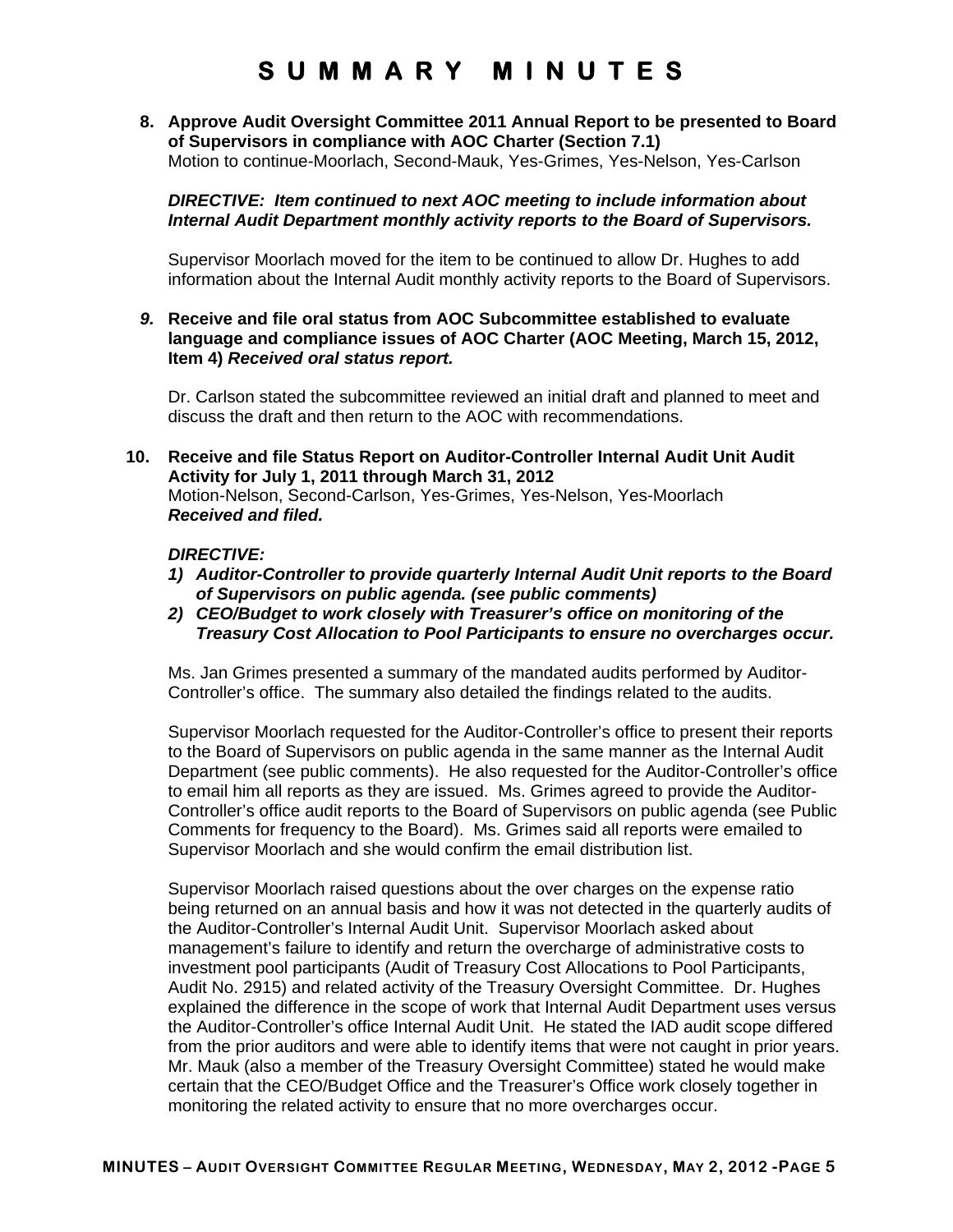**8. Approve Audit Oversight Committee 2011 Annual Report to be presented to Board of Supervisors in compliance with AOC Charter (Section 7.1)**  Motion to continue-Moorlach, Second-Mauk, Yes-Grimes, Yes-Nelson, Yes-Carlson

*DIRECTIVE: Item continued to next AOC meeting to include information about Internal Audit Department monthly activity reports to the Board of Supervisors.* 

Supervisor Moorlach moved for the item to be continued to allow Dr. Hughes to add information about the Internal Audit monthly activity reports to the Board of Supervisors.

*9.* **Receive and file oral status from AOC Subcommittee established to evaluate language and compliance issues of AOC Charter (AOC Meeting, March 15, 2012, Item 4)** *Received oral status report.* 

Dr. Carlson stated the subcommittee reviewed an initial draft and planned to meet and discuss the draft and then return to the AOC with recommendations.

**10. Receive and file Status Report on Auditor-Controller Internal Audit Unit Audit Activity for July 1, 2011 through March 31, 2012**  Motion-Nelson, Second-Carlson, Yes-Grimes, Yes-Nelson, Yes-Moorlach *Received and filed.* 

#### *DIRECTIVE:*

- *1) Auditor-Controller to provide quarterly Internal Audit Unit reports to the Board of Supervisors on public agenda. (see public comments)*
- *2) CEO/Budget to work closely with Treasurer's office on monitoring of the Treasury Cost Allocation to Pool Participants to ensure no overcharges occur.*

Ms. Jan Grimes presented a summary of the mandated audits performed by Auditor-Controller's office. The summary also detailed the findings related to the audits.

Supervisor Moorlach requested for the Auditor-Controller's office to present their reports to the Board of Supervisors on public agenda in the same manner as the Internal Audit Department (see public comments). He also requested for the Auditor-Controller's office to email him all reports as they are issued. Ms. Grimes agreed to provide the Auditor-Controller's office audit reports to the Board of Supervisors on public agenda (see Public Comments for frequency to the Board). Ms. Grimes said all reports were emailed to Supervisor Moorlach and she would confirm the email distribution list.

Supervisor Moorlach raised questions about the over charges on the expense ratio being returned on an annual basis and how it was not detected in the quarterly audits of the Auditor-Controller's Internal Audit Unit. Supervisor Moorlach asked about management's failure to identify and return the overcharge of administrative costs to investment pool participants (Audit of Treasury Cost Allocations to Pool Participants, Audit No. 2915) and related activity of the Treasury Oversight Committee. Dr. Hughes explained the difference in the scope of work that Internal Audit Department uses versus the Auditor-Controller's office Internal Audit Unit. He stated the IAD audit scope differed from the prior auditors and were able to identify items that were not caught in prior years. Mr. Mauk (also a member of the Treasury Oversight Committee) stated he would make certain that the CEO/Budget Office and the Treasurer's Office work closely together in monitoring the related activity to ensure that no more overcharges occur.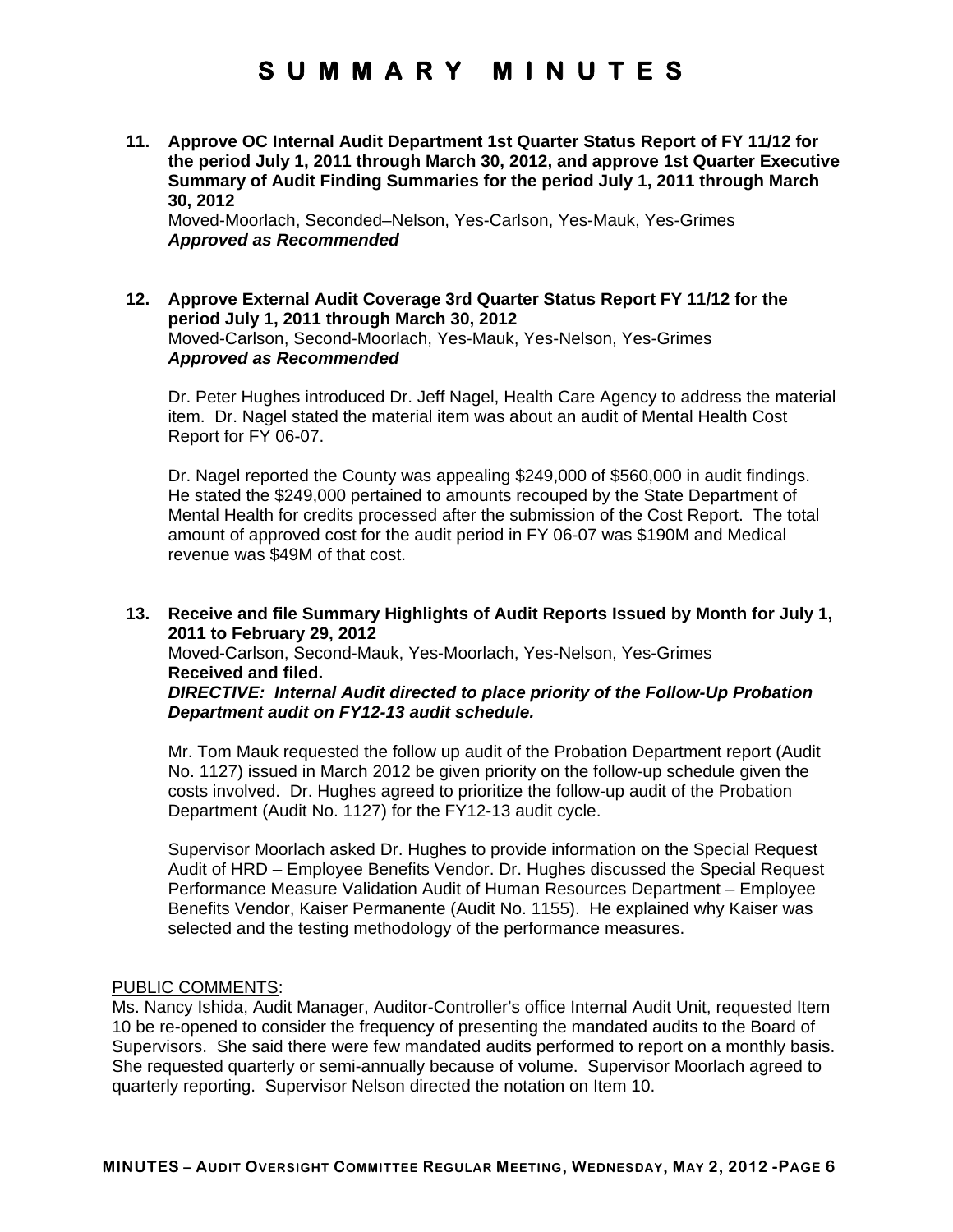**11. Approve OC Internal Audit Department 1st Quarter Status Report of FY 11/12 for the period July 1, 2011 through March 30, 2012, and approve 1st Quarter Executive Summary of Audit Finding Summaries for the period July 1, 2011 through March 30, 2012** 

Moved-Moorlach, Seconded–Nelson, Yes-Carlson, Yes-Mauk, Yes-Grimes *Approved as Recommended* 

#### **12. Approve External Audit Coverage 3rd Quarter Status Report FY 11/12 for the period July 1, 2011 through March 30, 2012**  Moved-Carlson, Second-Moorlach, Yes-Mauk, Yes-Nelson, Yes-Grimes *Approved as Recommended*

Dr. Peter Hughes introduced Dr. Jeff Nagel, Health Care Agency to address the material item. Dr. Nagel stated the material item was about an audit of Mental Health Cost Report for FY 06-07.

Dr. Nagel reported the County was appealing \$249,000 of \$560,000 in audit findings. He stated the \$249,000 pertained to amounts recouped by the State Department of Mental Health for credits processed after the submission of the Cost Report. The total amount of approved cost for the audit period in FY 06-07 was \$190M and Medical revenue was \$49M of that cost.

#### **13. Receive and file Summary Highlights of Audit Reports Issued by Month for July 1, 2011 to February 29, 2012**  Moved-Carlson, Second-Mauk, Yes-Moorlach, Yes-Nelson, Yes-Grimes

**Received and filed.**  *DIRECTIVE: Internal Audit directed to place priority of the Follow-Up Probation* 

*Department audit on FY12-13 audit schedule.* 

Mr. Tom Mauk requested the follow up audit of the Probation Department report (Audit No. 1127) issued in March 2012 be given priority on the follow-up schedule given the costs involved. Dr. Hughes agreed to prioritize the follow-up audit of the Probation Department (Audit No. 1127) for the FY12-13 audit cycle.

Supervisor Moorlach asked Dr. Hughes to provide information on the Special Request Audit of HRD – Employee Benefits Vendor. Dr. Hughes discussed the Special Request Performance Measure Validation Audit of Human Resources Department – Employee Benefits Vendor, Kaiser Permanente (Audit No. 1155). He explained why Kaiser was selected and the testing methodology of the performance measures.

#### PUBLIC COMMENTS:

Ms. Nancy Ishida, Audit Manager, Auditor-Controller's office Internal Audit Unit, requested Item 10 be re-opened to consider the frequency of presenting the mandated audits to the Board of Supervisors. She said there were few mandated audits performed to report on a monthly basis. She requested quarterly or semi-annually because of volume. Supervisor Moorlach agreed to quarterly reporting. Supervisor Nelson directed the notation on Item 10.